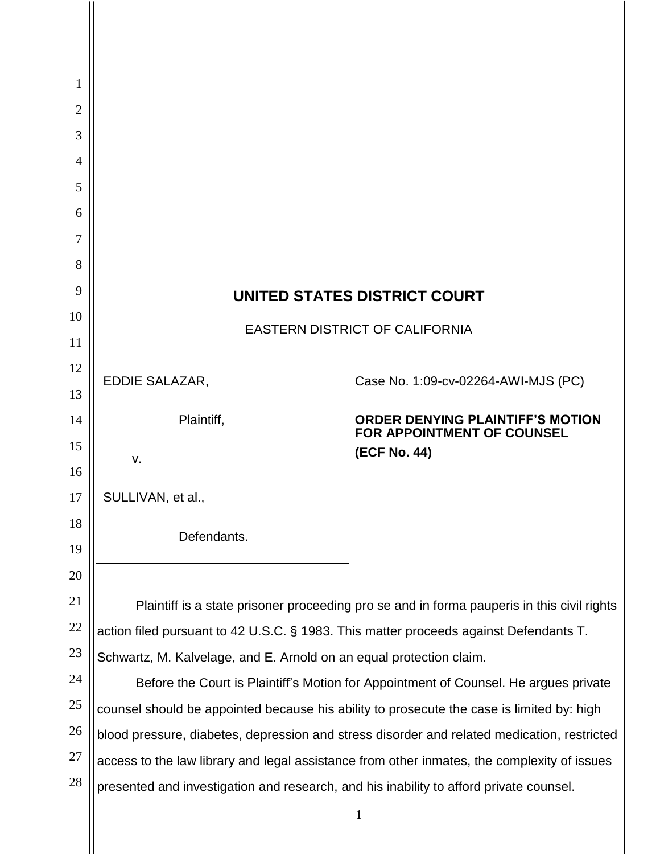| 1              |                                                                                             |                                                                              |
|----------------|---------------------------------------------------------------------------------------------|------------------------------------------------------------------------------|
| $\overline{2}$ |                                                                                             |                                                                              |
| 3              |                                                                                             |                                                                              |
| $\overline{4}$ |                                                                                             |                                                                              |
| 5<br>6         |                                                                                             |                                                                              |
| 7              |                                                                                             |                                                                              |
| 8              |                                                                                             |                                                                              |
| 9              |                                                                                             |                                                                              |
| 10             | UNITED STATES DISTRICT COURT                                                                |                                                                              |
| 11             | <b>EASTERN DISTRICT OF CALIFORNIA</b>                                                       |                                                                              |
| 12             |                                                                                             |                                                                              |
| 13             | EDDIE SALAZAR,                                                                              | Case No. 1:09-cv-02264-AWI-MJS (PC)                                          |
| 14             | Plaintiff,                                                                                  | <b>ORDER DENYING PLAINTIFF'S MOTION</b><br><b>FOR APPOINTMENT OF COUNSEL</b> |
| 15             | $V_{\cdot}$                                                                                 | (ECF No. 44)                                                                 |
| 16             |                                                                                             |                                                                              |
| 17             | SULLIVAN, et al.,                                                                           |                                                                              |
| 18             | Defendants.                                                                                 |                                                                              |
| 19             |                                                                                             |                                                                              |
| 20             |                                                                                             |                                                                              |
| 21             | Plaintiff is a state prisoner proceeding pro se and in forma pauperis in this civil rights  |                                                                              |
| 22             | action filed pursuant to 42 U.S.C. § 1983. This matter proceeds against Defendants T.       |                                                                              |
| 23             | Schwartz, M. Kalvelage, and E. Arnold on an equal protection claim.                         |                                                                              |
| 24             | Before the Court is Plaintiff's Motion for Appointment of Counsel. He argues private        |                                                                              |
| 25             | counsel should be appointed because his ability to prosecute the case is limited by: high   |                                                                              |
| 26             | blood pressure, diabetes, depression and stress disorder and related medication, restricted |                                                                              |
| 27             | access to the law library and legal assistance from other inmates, the complexity of issues |                                                                              |
| 28             | presented and investigation and research, and his inability to afford private counsel.      |                                                                              |
|                |                                                                                             | $\mathbf{1}$                                                                 |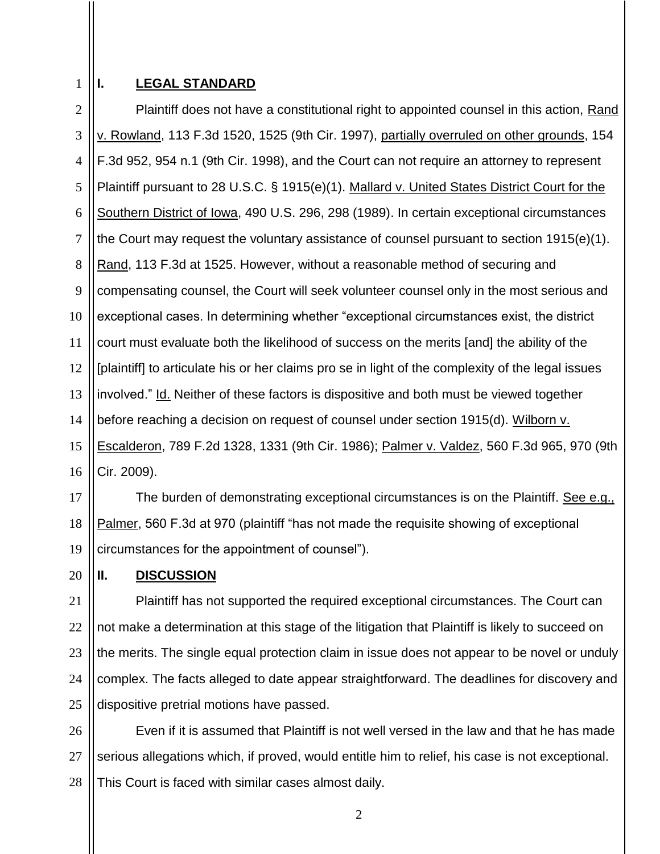1 2

## **I. LEGAL STANDARD**

3 4 5 6 7 8 9 10 11 12 13 14 15 16 Plaintiff does not have a constitutional right to appointed counsel in this action, Rand v. Rowland, 113 F.3d 1520, 1525 (9th Cir. 1997), partially overruled on other grounds, 154 F.3d 952, 954 n.1 (9th Cir. 1998), and the Court can not require an attorney to represent Plaintiff pursuant to 28 U.S.C. § 1915(e)(1). Mallard v. United States District Court for the Southern District of Iowa, 490 U.S. 296, 298 (1989). In certain exceptional circumstances the Court may request the voluntary assistance of counsel pursuant to section 1915(e)(1). Rand, 113 F.3d at 1525. However, without a reasonable method of securing and compensating counsel, the Court will seek volunteer counsel only in the most serious and exceptional cases. In determining whether "exceptional circumstances exist, the district court must evaluate both the likelihood of success on the merits [and] the ability of the [plaintiff] to articulate his or her claims pro se in light of the complexity of the legal issues involved." Id. Neither of these factors is dispositive and both must be viewed together before reaching a decision on request of counsel under section 1915(d). Wilborn v. Escalderon, 789 F.2d 1328, 1331 (9th Cir. 1986); Palmer v. Valdez, 560 F.3d 965, 970 (9th Cir. 2009).

17 18 19 The burden of demonstrating exceptional circumstances is on the Plaintiff. See e.g., Palmer, 560 F.3d at 970 (plaintiff "has not made the requisite showing of exceptional circumstances for the appointment of counsel").

## **II. DISCUSSION**

20

21 22 23 24 25 Plaintiff has not supported the required exceptional circumstances. The Court can not make a determination at this stage of the litigation that Plaintiff is likely to succeed on the merits. The single equal protection claim in issue does not appear to be novel or unduly complex. The facts alleged to date appear straightforward. The deadlines for discovery and dispositive pretrial motions have passed.

26 27 28 Even if it is assumed that Plaintiff is not well versed in the law and that he has made serious allegations which, if proved, would entitle him to relief, his case is not exceptional. This Court is faced with similar cases almost daily.

2